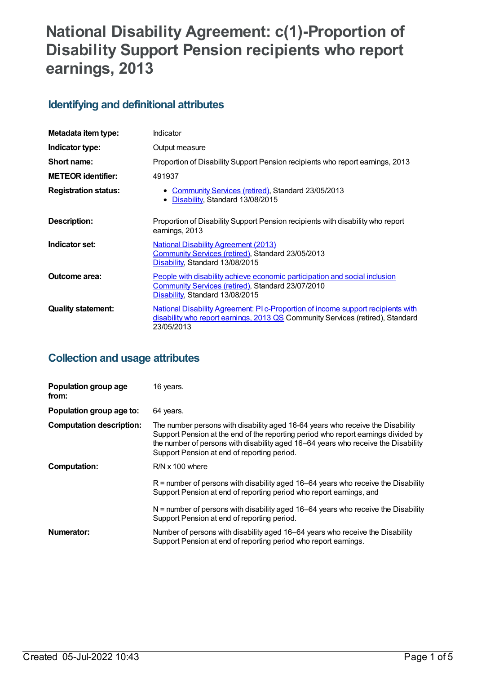# **National Disability Agreement: c(1)-Proportion of Disability Support Pension recipients who report earnings, 2013**

## **Identifying and definitional attributes**

| Metadata item type:         | Indicator                                                                                                                                                                        |
|-----------------------------|----------------------------------------------------------------------------------------------------------------------------------------------------------------------------------|
| Indicator type:             | Output measure                                                                                                                                                                   |
| Short name:                 | Proportion of Disability Support Pension recipients who report earnings, 2013                                                                                                    |
| <b>METEOR identifier:</b>   | 491937                                                                                                                                                                           |
| <b>Registration status:</b> | • Community Services (retired), Standard 23/05/2013<br>Disability, Standard 13/08/2015<br>$\bullet$                                                                              |
| Description:                | Proportion of Disability Support Pension recipients with disability who report<br>earnings, 2013                                                                                 |
| Indicator set:              | <b>National Disability Agreement (2013)</b><br>Community Services (retired), Standard 23/05/2013<br>Disability, Standard 13/08/2015                                              |
| Outcome area:               | People with disability achieve economic participation and social inclusion<br>Community Services (retired), Standard 23/07/2010<br>Disability, Standard 13/08/2015               |
| <b>Quality statement:</b>   | National Disability Agreement: PI c-Proportion of income support recipients with<br>disability who report earnings, 2013 QS Community Services (retired), Standard<br>23/05/2013 |

## **Collection and usage attributes**

| Population group age<br>from:   | 16 years.                                                                                                                                                                                                                                                                                               |
|---------------------------------|---------------------------------------------------------------------------------------------------------------------------------------------------------------------------------------------------------------------------------------------------------------------------------------------------------|
| Population group age to:        | 64 years.                                                                                                                                                                                                                                                                                               |
| <b>Computation description:</b> | The number persons with disability aged 16-64 years who receive the Disability<br>Support Pension at the end of the reporting period who report earnings divided by<br>the number of persons with disability aged 16–64 years who receive the Disability<br>Support Pension at end of reporting period. |
| <b>Computation:</b>             | $R/N \times 100$ where                                                                                                                                                                                                                                                                                  |
|                                 | $R$ = number of persons with disability aged 16–64 years who receive the Disability<br>Support Pension at end of reporting period who report earnings, and                                                                                                                                              |
|                                 | $N =$ number of persons with disability aged 16–64 years who receive the Disability<br>Support Pension at end of reporting period.                                                                                                                                                                      |
| Numerator:                      | Number of persons with disability aged 16–64 years who receive the Disability<br>Support Pension at end of reporting period who report earnings.                                                                                                                                                        |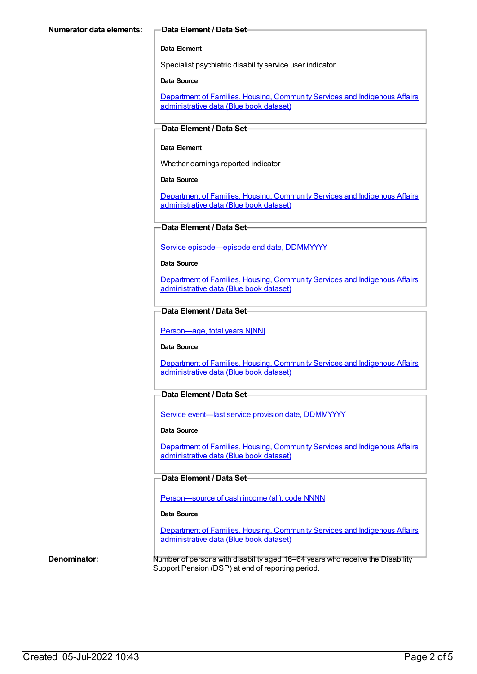#### **Data Element**

Specialist psychiatric disability service user indicator.

#### **Data Source**

Department of Families, Housing, Community Services and Indigenous Affairs [administrative](https://meteor.aihw.gov.au/content/557660) data (Blue book dataset)

#### **Data Element / Data Set**

#### **Data Element**

Whether earnings reported indicator

#### **Data Source**

[Department](https://meteor.aihw.gov.au/content/557660) of Families, Housing, Community Services and Indigenous Affairs administrative data (Blue book dataset)

#### **Data Element / Data Set**

Service [episode—episode](https://meteor.aihw.gov.au/content/270160) end date, DDMMYYYY

#### **Data Source**

Department of Families, Housing, Community Services and Indigenous Affairs [administrative](https://meteor.aihw.gov.au/content/557660) data (Blue book dataset)

### **Data Element / Data Set**

[Person—age,](https://meteor.aihw.gov.au/content/303794) total years N[NN]

#### **Data Source**

Department of Families, Housing, Community Services and Indigenous Affairs [administrative](https://meteor.aihw.gov.au/content/557660) data (Blue book dataset)

#### **Data Element / Data Set**

Service event-last service provision date, [DDMMYYYY](https://meteor.aihw.gov.au/content/323253)

#### **Data Source**

Department of Families, Housing, Community Services and Indigenous Affairs [administrative](https://meteor.aihw.gov.au/content/557660) data (Blue book dataset)

#### **Data Element / Data Set**

[Person—source](https://meteor.aihw.gov.au/content/408120) of cash income (all), code NNNN

#### **Data Source**

[Department](https://meteor.aihw.gov.au/content/557660) of Families, Housing, Community Services and Indigenous Affairs administrative data (Blue book dataset)

**Denominator:** Number of persons with disability aged 16–64 years who receive the Disability Support Pension (DSP) at end of reporting period.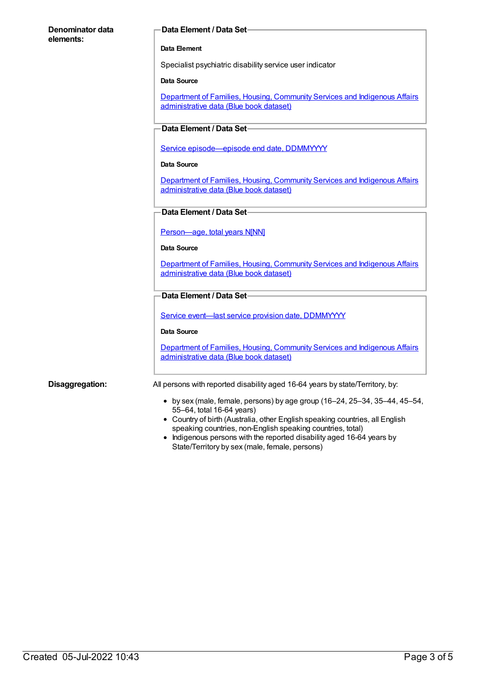#### **Denominator data elements:**

#### **Data Element / Data Set**

#### **Data Element**

Specialist psychiatric disability service user indicator

#### **Data Source**

Department of Families, Housing, Community Services and Indigenous Affairs [administrative](https://meteor.aihw.gov.au/content/557660) data (Blue book dataset)

#### **Data Element / Data Set**

Service [episode—episode](https://meteor.aihw.gov.au/content/270160) end date, DDMMYYYY

#### **Data Source**

Department of Families, Housing, Community Services and Indigenous Affairs [administrative](https://meteor.aihw.gov.au/content/557660) data (Blue book dataset)

#### **Data Element / Data Set**

[Person—age,](https://meteor.aihw.gov.au/content/303794) total years N[NN]

#### **Data Source**

Department of Families, Housing, Community Services and Indigenous Affairs [administrative](https://meteor.aihw.gov.au/content/557660) data (Blue book dataset)

#### **Data Element / Data Set**

Service event-last service provision date, [DDMMYYYY](https://meteor.aihw.gov.au/content/323253)

#### **Data Source**

[Department](https://meteor.aihw.gov.au/content/557660) of Families, Housing, Community Services and Indigenous Affairs administrative data (Blue book dataset)

**Disaggregation:** All persons with reported disability aged 16-64 years by state/Territory, by:

- $\bullet$  by sex (male, female, persons) by age group (16–24, 25–34, 35–44, 45–54, 55–64, total 16-64 years)
- Country of birth (Australia, other English speaking countries, all English speaking countries, non-English speaking countries, total)
- Indigenous persons with the reported disability aged 16-64 years by State/Territory by sex (male, female, persons)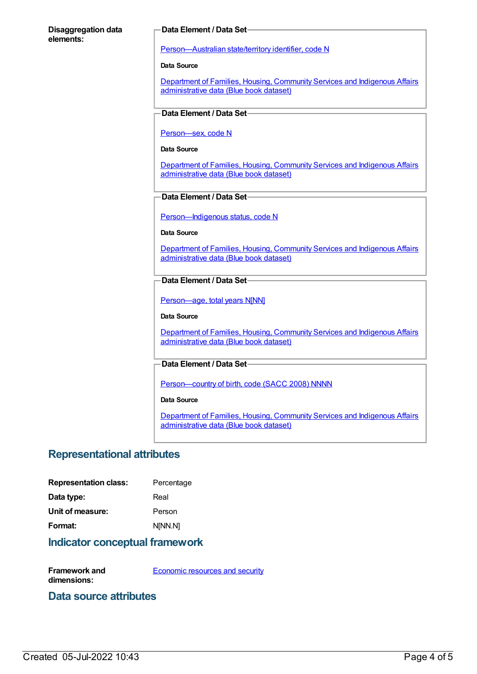#### **Disaggregation data elements:**

#### **Data Element / Data Set**

[Person—Australian](https://meteor.aihw.gov.au/content/286919) state/territory identifier, code N

**Data Source**

Department of Families, Housing, Community Services and Indigenous Affairs [administrative](https://meteor.aihw.gov.au/content/557660) data (Blue book dataset)

### **Data Element / Data Set**

[Person—sex,](https://meteor.aihw.gov.au/content/287316) code N

#### **Data Source**

Department of Families, Housing, Community Services and Indigenous Affairs [administrative](https://meteor.aihw.gov.au/content/557660) data (Blue book dataset)

### **Data Element / Data Set**

[Person—Indigenous](https://meteor.aihw.gov.au/content/291036) status, code N

#### **Data Source**

[Department](https://meteor.aihw.gov.au/content/557660) of Families, Housing, Community Services and Indigenous Affairs administrative data (Blue book dataset)

### **Data Element / Data Set**

[Person—age,](https://meteor.aihw.gov.au/content/303794) total years N[NN]

#### **Data Source**

Department of Families, Housing, Community Services and Indigenous Affairs [administrative](https://meteor.aihw.gov.au/content/557660) data (Blue book dataset)

#### **Data Element / Data Set**

[Person—country](https://meteor.aihw.gov.au/content/370943) of birth, code (SACC 2008) NNNN

#### **Data Source**

Department of Families, Housing, Community Services and Indigenous Affairs [administrative](https://meteor.aihw.gov.au/content/557660) data (Blue book dataset)

## **Representational attributes**

| Percentage |
|------------|
| Real       |
| Person     |
| N[NN.N]    |
|            |

### **Indicator conceptual framework**

**Framework and dimensions:** [Economic](https://meteor.aihw.gov.au/content/392708) resources and security

## **Data source attributes**